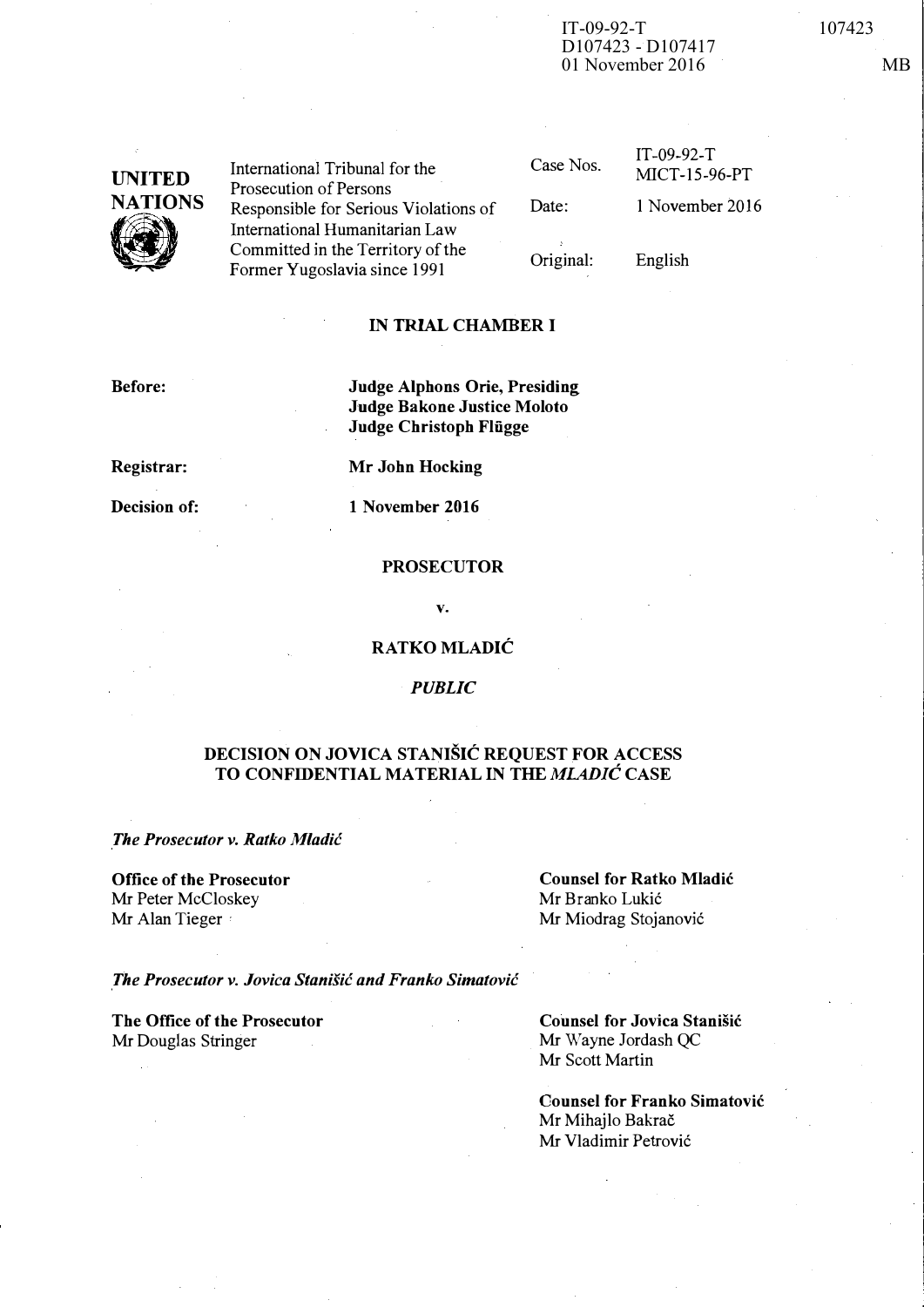### IT-09-92-T 107423 D107423 - D107417 01 November 2016 MB

UNITED **NATIONS**  $\bigotimes_{\mathbb{F}_\mathbb{C}}$ 

International Tribunal for the Prosecution of Persons Responsible for Serious Violations of International Humanitarian Law Committed in the Territory of the Former Yugoslavia since 1991

Case Nos.

Date:

IT-09-92-T MICT-1S-96-PT 1 November 2016

English

Original:

### IN TRIAL CHAMBER I

Before:

### Judge Alphons Orie, Presiding Judge Bakone Justice Moloto Judge Christoph Flügge

Registrar:

Mr John Hocking

Decision of:

1 November 2016

#### PROSECUTOR

v.

### R ATKO MLADIC

### **PUBLIC**

### DECISION ON JOVICA STANISIC REQUEST FOR ACCESS TO CONFIDENTIAL MATERIAL IN THE MLADIC CASE

The Prosecutor v. Ratko Mladic

Office of the Prosecutor Mr Peter McCloskey Mr Alan Tieger

Counsel for Ratko Mladic Mr Branko Lukić Mr Miodrag Stojanović

The Prosecutor v. Jovica Stanisic and Franko Simatovic

The Office of the Prosecutor Mr Douglas Stringer

Counsel for Jovica Stanišić Mr Wayne Jordash QC Mr Scott Martin

Counsel for Franko Simatovic Mr Mihajlo Bakrač Mr Vladimir Petrovi6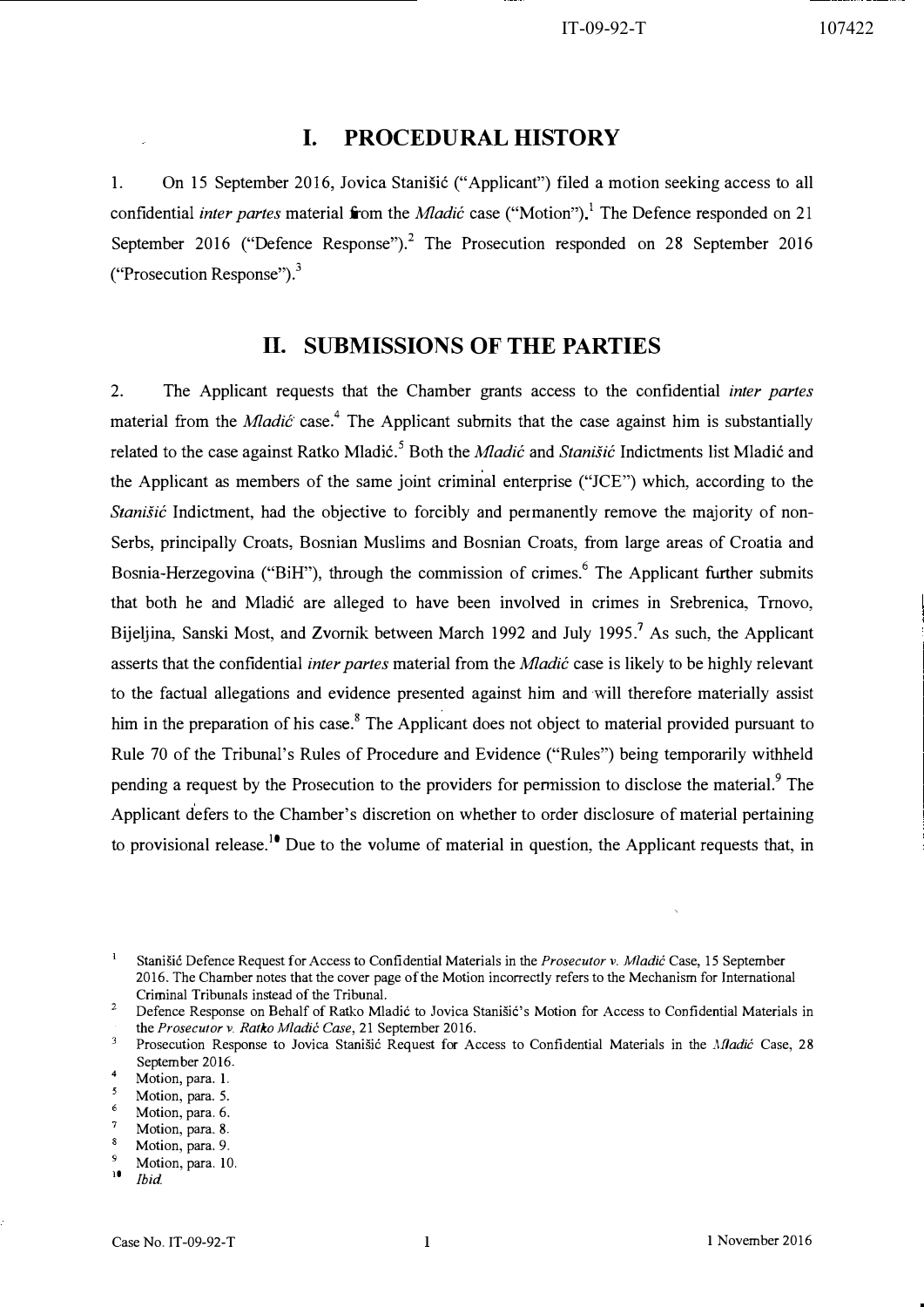## I. PROCEDURAL HISTORY

1. On 15 September 2016, Jovica Stanišić ("Applicant") filed a motion seeking access to all confidential *inter partes* material from the *Mladić* case ("Motion").<sup>1</sup> The Defence responded on 21 September 2016 ("Defence Response").<sup>2</sup> The Prosecution responded on 28 September 2016 ("Prosecution Response"). $3$ 

## IT. SUBMISSIONS OF THE PARTIES

2. The Applicant requests that the Chamber grants access to the confidential inter partes material from the *Mladic* case.<sup>4</sup> The Applicant submits that the case against him is substantially related to the case against Ratko Mladić.<sup>5</sup> Both the *Mladić* and *Stanišić* Indictments list Mladić and the Applicant as members of the same joint criminal enterprise ("JCE") which, according to the Stanišić Indictment, had the objective to forcibly and permanently remove the majority of non-Serbs, principally Croats, Bosnian Muslims and Bosnian Croats, from large areas of Croatia and Bosnia-Herzegovina ("BiH"), through the commission of crimes.<sup>6</sup> The Applicant further submits that both he and Mladić are alleged to have been involved in crimes in Srebrenica, Trnovo, Bijeljina, Sanski Most, and Zvornik between March 1992 and July 1995.<sup>7</sup> As such, the Applicant asserts that the confidential inter partes material from the Mladić case is likely to be highly relevant to the factual allegations and evidence presented against him and will therefore materially assist him in the preparation of his case.<sup>8</sup> The Applicant does not object to material provided pursuant to Rule 70 of the Tribunal's Rules of Procedure and Evidence ("Rules") being temporarily withheld pending a request by the Prosecution to the providers for permission to disclose the material.<sup>9</sup> The Applicant defers to the Chamber's discretion on whether to order disclosure of material pertaining to provisional release.<sup>10</sup> Due to the volume of material in question, the Applicant requests that, in

 $\mathbf 1$ Stanišić Defence Request for Access to Confidential Materials in the Prosecutor v. Mladić Case, 15 September 2016. The Chamber notes that the cover page of the Motion incorrectly refers to the Mechanism for International Criminal Tribunals instead of the Tribunal.

2 Defence Response on Behalf of Ratko Mladić to Jovica Stanišić's Motion for Access to Confidential Materials in the Prosecutor v. Ratko Mladić Case, 21 September 2016.

 $\mathbf 3$ Prosecution Response to Jovica Stanišić Request for Access to Confidential Materials in the Madić Case, 28 September 2016.

4 Motion, para. 1.

- $\epsilon$ Motion, para. 6.
- Motion, para. 8-

9 Motion, para. 10.

<sup>5</sup> Motion, para. 5.

 $\boldsymbol{s}$ Motion, para. 9.

 $10$  Ibid.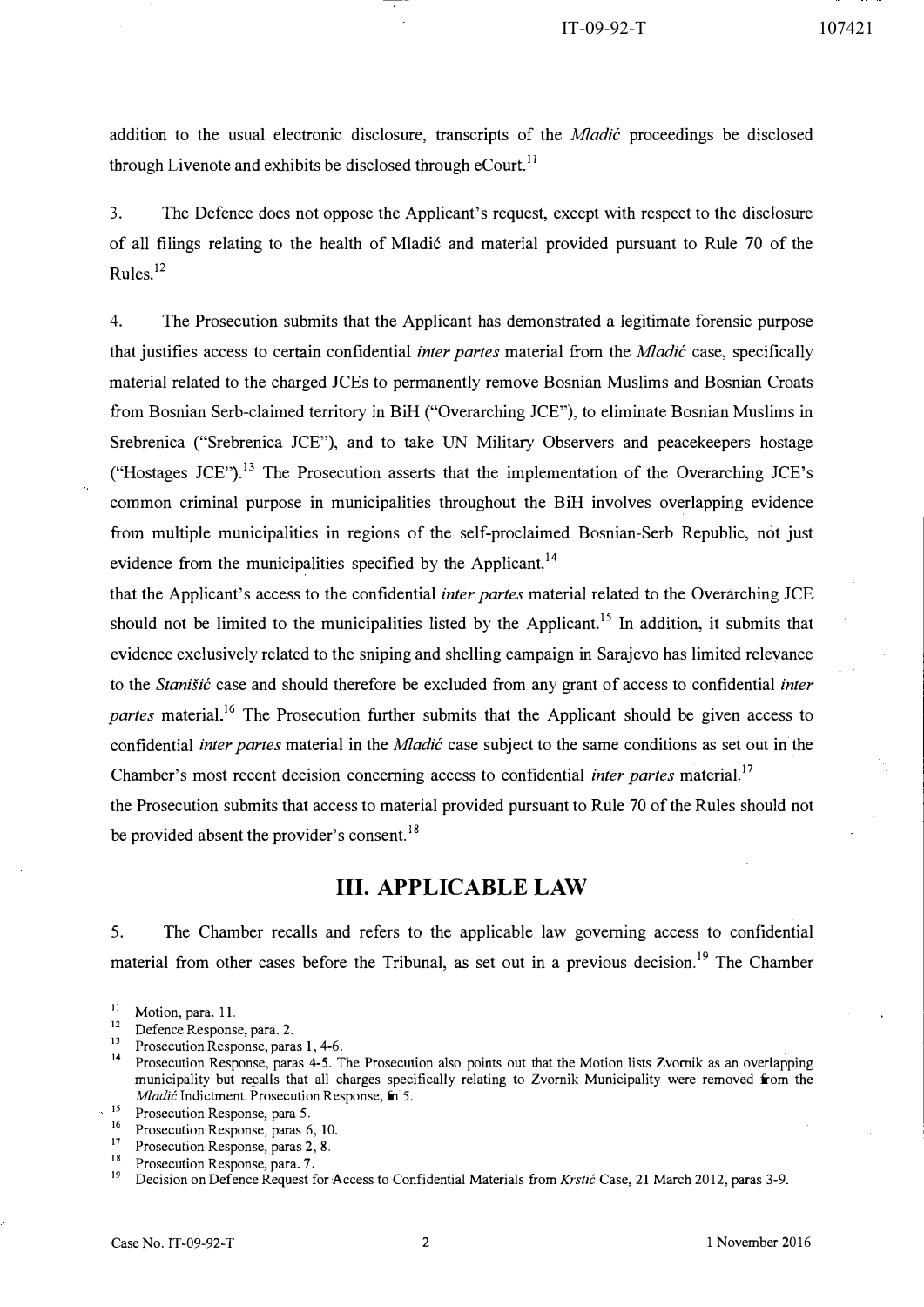addition to the usual electronic disclosure, transcripts of the *Mladic* proceedings be disclosed through Livenote and exhibits be disclosed through  $e$ Court.<sup>11</sup>

3. The Defence does not oppose the Applicant's request, except with respect to the discIosure of all filings relating to the health of Mladić and material provided pursuant to Rule 70 of the Rules.12

4. The Prosecution submits that the Applicant has demonstrated a legitimate forensic purpose that justifies access to certain confidential *inter partes* material from the *Mladic* case, specifically material related to the charged JCEs to permanently remove Bosnian Muslims and Bosnian Croats from Bosnian Serb-claimed territory in BiH ("Overarching JCE"), to eliminate Bosnian Muslims in Srebrenica ("Srebrenica JCE"), and to take UN Military Observers and peacekeepers hostage ("Hostages JCE").<sup>13</sup> The Prosecution asserts that the implementation of the Overarching JCE's common criminal purpose in municipalities throughout the BiH involves overlapping evidence from multiple municipalities in regions of the self-proclaimed Bosnian-Serb Republic, not just evidence from the municipalities specified by the Applicant.<sup>14</sup>

that the Applicant's access to the confidential inter partes material related to the Overarching JCE should not be limited to the municipalities listed by the Applicant.<sup>15</sup> In addition, it submits that evidence exclusively related to the sniping and shelling campaign in Sarajevo has limited relevance to the *Stanišic* case and should therefore be excluded from any grant of access to confidential *inter* partes material<sup>16</sup> The Prosecution further submits that the Applicant should be given access to confidential *inter partes* material in the *Mladic* case subject to the same conditions as set out in the Chamber's most recent decision concerning access to confidential *inter partes* material.<sup>17</sup>

the Prosecution submits that access to material provided pursuant to Rule 70 of the Rules should not be provided absent the provider's consent.<sup>18</sup>

## Ill. APPLICABLE LAW

5. The Chamber recalls and refers to the applicable law governing access to confidential material from other cases before the Tribunal, as set out in a previous decision.<sup>19</sup> The Chamber

- $12$  Defence Response, para. 2.
- Prosecution Response, paras 1, 4-6.

<sup>16</sup> Prosecution Response, paras 6, 10.<br><sup>17</sup> Prosecution Response, paras 2, 8

<sup>18</sup> Prosecution Response, para. 7.<br><sup>19</sup> Decision on Defence Bequest for

<sup>19</sup>Decision on Defence Request for Access to Confidential Materials from Krstic Case, 21 March 2012, paras 3-9.

 $\frac{11}{12}$  Motion, para. 11.

<sup>&</sup>lt;sup>14</sup> Prosecution Response, paras 4-5. The Prosecution also points out that the Motion lists Zvornik as an overlapping municipality but recalls that all charges specifically relating to Zvornik Municipality were removed from the Mladić Indictment. Prosecution Response, in 5.

 $15$  Prosecution Response, para 5.

 $17$  Prosecution Response, paras 2, 8.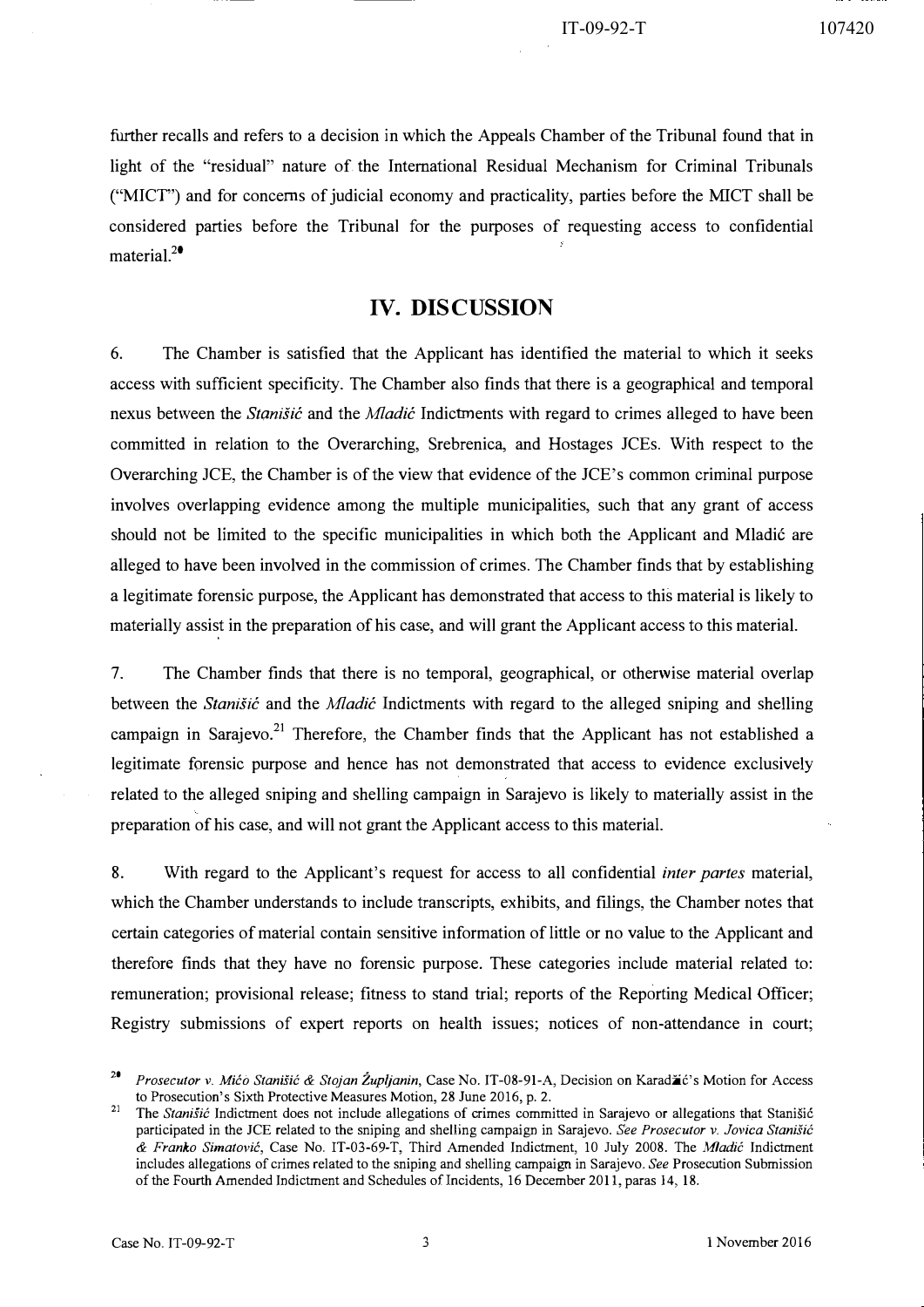further recalls and refers to a decision in which the Appeals Chamber of the Tribunal found that in light of the "residual" nature of the International Residual Mechanism for Criminal Tribunals ("MICT') and for concerns of judicial economy and practicality, parties before the MICT shall be considered parties before the Tribunal for the purposes of requesting access to confidential material. $^{20}$ 

# IV. DISCUSSION

6. The Chamber is satisfied that the Applicant has identified the material to which it seeks access with sufficient specificity. The Chamber also finds that there is a geographical and temporal nexus between the *Stanišic* and the *Mladic* Indictments with regard to crimes alleged to have been committed in relation to the Overarching, Srebrenica, and Hostages JCEs. With respect to the Overarching ICE, the Chamber is of the view that evidence of the JCE's common criminal purpose involves overlapping evidence among the multiple municipalities, such that any grant of access should not be limited to the specific municipalities in which both the Applicant and Mladic are alleged to have been involved in the commission of crimes. The Chamber finds that by establishing a legitimate forensic purpose, the Applicant has demonstrated that access to this material is likely to materially assist in the preparation of his case, and will grant the Applicant access to this material.

7. The Chamber finds that there is no temporal, geographical, or otherwise material overlap between the Stanišić and the Mladić Indictments with regard to the alleged sniping and shelling campaign in Sarajevo.<sup>21</sup> Therefore, the Chamber finds that the Applicant has not established a legitimate forensic purpose and hence has not demonstrated that access to evidence exclusively related to the alleged sniping and shelling campaign in Sarajevo is likely to materially assist in the preparation of his case, and will not grant tbe Applicant access to this material.

8. With regard to the Applicant's request for access to all confidential *inter partes* material, which the Chamber understands to include transcripts, exhibits, and filings, the Chamber notes that certain categories of material contain sensitive information of little or no value to the Applicant and therefore finds that they have no forensic purpose. These categories include material related to: remuneration; provisional release; fitness to stand trial; reports of the Reporting Medical Officer; Registry submissions of expert reports on health issues; notices of non-attendance in court;

<sup>&</sup>lt;sup>20</sup> Prosecutor v. Mico Stanišic & Stojan Zupljanin, Case No. IT-08-91-A, Decision on Karad $\ddot{a}$ c's Motion for Access to Prosecution's Sixth Protective Measures Motion, 28 June 2016, p. 2.

<sup>&</sup>lt;sup>21</sup>The *Stanisic* Indictment does not include allegations of crimes committed in Sarajevo or allegations that Stanišic participated in the JCE related to the sniping and shelling campaign in Sarajevo. See Prosecutor v. Jovica Stanišić & Franko Simatović, Case No. IT-03-69-T, Third Amended Indictment, 10 July 2008. The Mladić Indictment includes allegations of crimes related to the sniping and shelling campaign in Sarajevo. See Prosecution Submission of the Fourth Amended Indictment and Schedules of Incidents, 16 December 2011, paras 14, 18.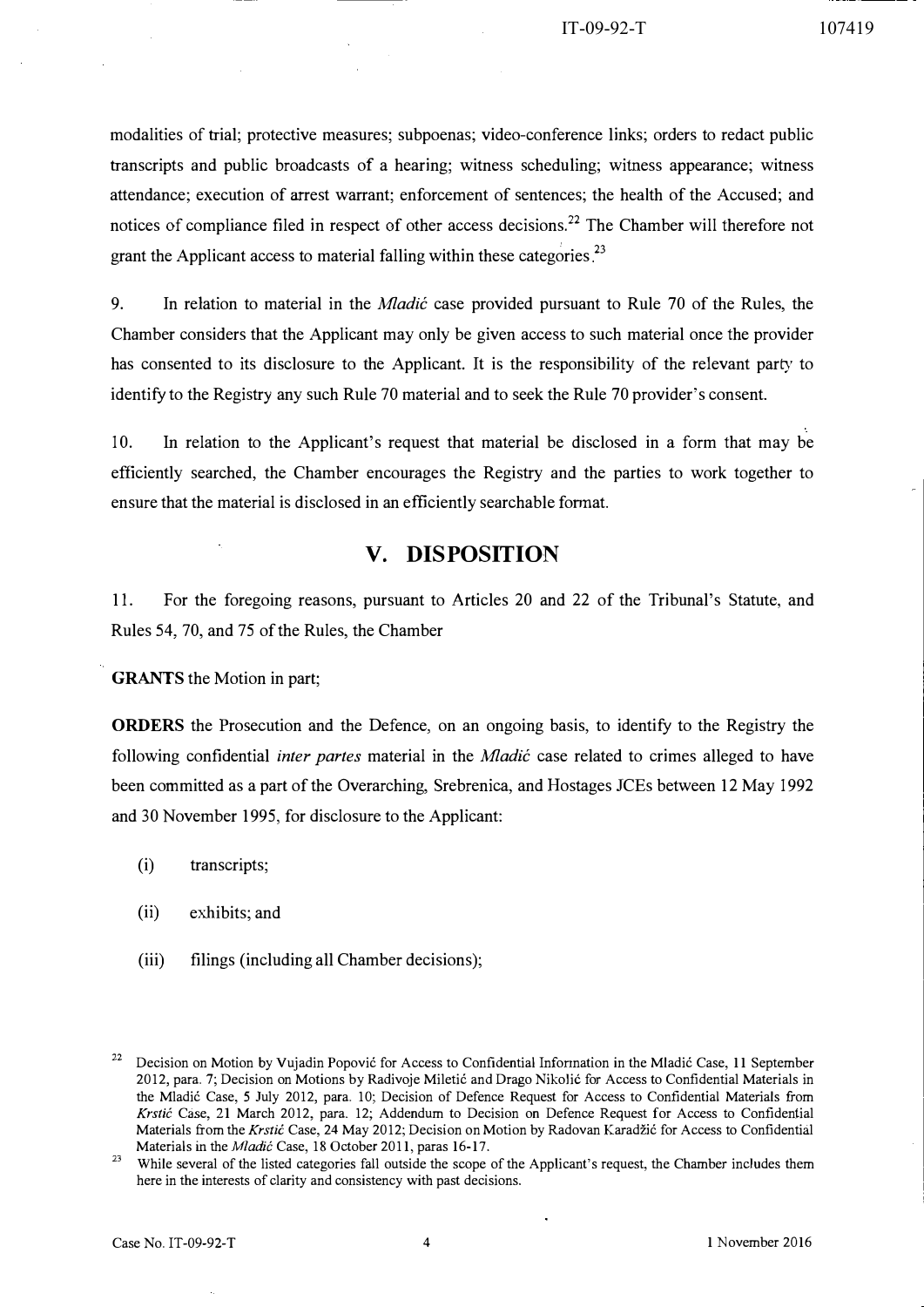modalities of trial; protective measures; subpoenas; video-conference links; orders to redact public transcripts and public broadcasts of a hearing; witness scheduling; witness appearance; witness attendance; execution of arrest warrant; enforcement of sentences; the health of the Accused; and notices of compliance filed in respect of other access decisions.<sup>22</sup> The Chamber will therefore not grant the Applicant access to material falling within these categories<sup>23</sup>

9. In relation to material in the *Mladić* case provided pursuant to Rule 70 of the Rules, the Chamber considers that the Applicant may only be given access to such material once the provider has consented to its disclosure to the Applicant. It is the responsibility of the relevant party to identify to the Registry any such Rule 70 material and to seek the Rule 70 provider's consent.

10. In relation to the Applicant's request that material be disclosed in a form that may be efficiently searched, the Chamber encourages the Registry and the parties to work together to ensure that the material is disclosed in an efficiently searchable format.

# V. DISPOSITION

11. For the foregoing reasons, pursuant to Articles 20 and 22 of the Tribunal's Statute, and Rules 54, 70, and 75 of the Rules, the Chamber

GRANTS the Motion in part;

**ORDERS** the Prosecution and the Defence, on an ongoing basis, to identify to the Registry the following confidential *inter partes* material in the *Mladić* case related to crimes alleged to have been committed as a part of the Overarching, Srebrenica, and Hostages lCEs between 12 May 1992 and 30 November 1995, for disclosure to the Applicant:

- (i) transcripts;
- (ii) exhibits; and
- (iii) filings (including all Chamber decisions);

<sup>&</sup>lt;sup>22</sup> Decision on Motion by Vujadin Popović for Access to Confidential Information in the Mladić Case, 11 September 2012, para. 7; Decision on Motions by Radivoje Miletic and Drago Nikolic for Access to Confidential Materials in the Mladic Case, 5 July 2012, para. 10; Decision of Defence Request for Access to Confidential Materials from Krstic Case, 21 March 2012, para. 12; Addendum to Decision on Defence Request for Access to Confidential Materials from the Krstic Case, 24 May 2012; Decision on Motion by Radovan Karadžic for Access to Confidential Materials in the *Mladić* Case, 18 October 2011, paras 16-17.

While several of the listed categories fall outside the scope of the Applicant's request, the Chamber includes them here in the interests of clarity and consistency with past decisions.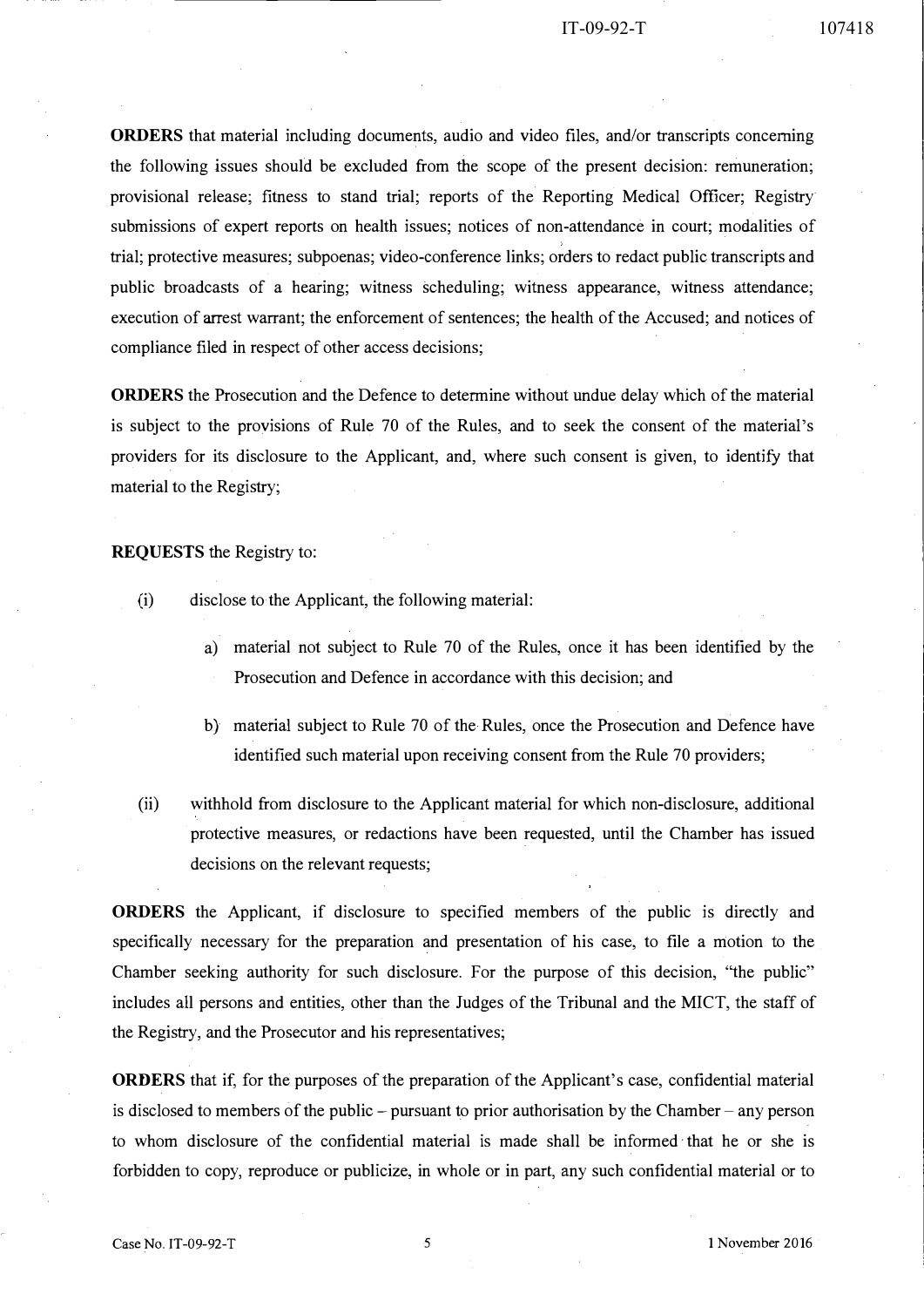#### IT-09-92-T 107418

**ORDERS** that material including documents, audio and video files, and/or transcripts concerning the following issues should be excluded from the scope of the present decision: remuneration; provisional release; fitness to stand trial; reports of the Reporting Medical Officer; Registry submissions of expert reports on health issues; notices of non-attendance in court; modalities of trial; protective measures; subpoenas; video-conference links; orders to redact public transcripts and public broadcasts of a hearing; witness scheduling; witness appearance, witness attendance; execution of arrest warrant; the enforcement of sentences; the health of the Accused; and notices of compliance filed in respect of other access decisions;

ORDERS the Prosecution and the Defence to determine without undue delay which of the material is subject to the provisions of Rule 70 of the Rules, and to seek the consent of the material's providers for its disclosure to the Applicant, and, where such consent is given, to identify that material to the Registry;

### REQUESTS the Registry to:

- (i) disclose to the Applicant, the following material:
	- a) material not subject to Rule 70 of the Rules, once it has been identified by the Prosecution and Defence in accordance with this decision; and
	- b) material subject to Rule 70 of the Rules, once the Prosecution and Defence have identified such material upon receiving consent from the Rule 70 providers;
- (ii) withhold from disclosure to the Applicant material for which non-disclosure, additional protective measures, or redactions have been requested, until the Chamber has issued decisions on the relevant requests;

ORDERS the Applicant, if disclosure to specified members of the public is directly and specifically necessary for the preparation and presentation of his case, to file a motion to the Chamber seeking authority for such disclosure. For the purpose of this decision, "the public" includes all persons and entities, other than the Judges of the Tribunal and the MICT, the staff of the Registry, and the Prosecutor and his representatives;

ORDERS that if, for the purposes of the preparation of the Applicant's case, confidential material is disclosed to members of the public – pursuant to prior authorisation by the Chamber – any person to whom disclosure of the confidential material is made shall be informed· that he or she is forbidden to copy, reproduce or publicize, in whole or in part, any such confidential material or to